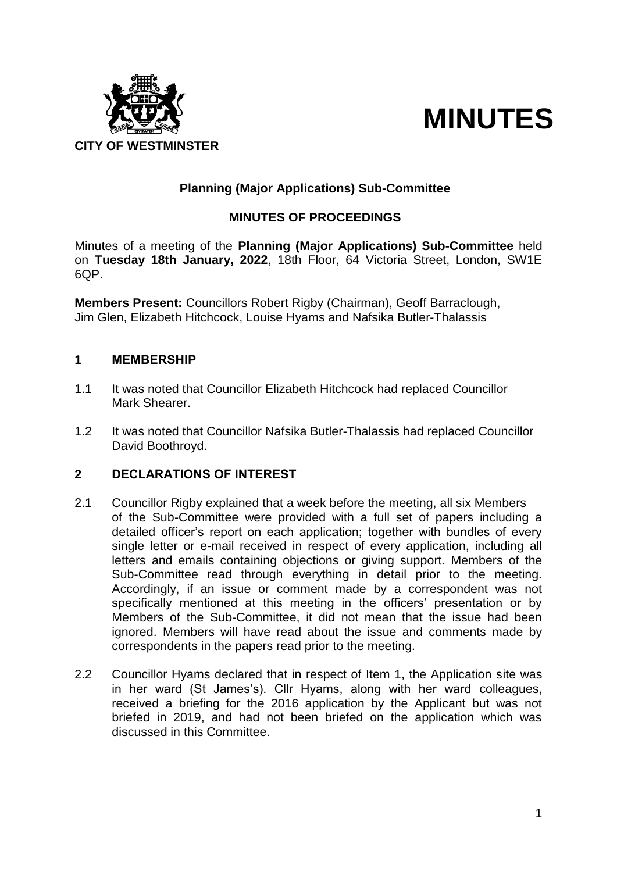



# **Planning (Major Applications) Sub-Committee**

## **MINUTES OF PROCEEDINGS**

Minutes of a meeting of the **Planning (Major Applications) Sub-Committee** held on **Tuesday 18th January, 2022**, 18th Floor, 64 Victoria Street, London, SW1E 6QP.

**Members Present:** Councillors Robert Rigby (Chairman), Geoff Barraclough, Jim Glen, Elizabeth Hitchcock, Louise Hyams and Nafsika Butler-Thalassis

#### **1 MEMBERSHIP**

- 1.1 It was noted that Councillor Elizabeth Hitchcock had replaced Councillor Mark Shearer.
- 1.2 It was noted that Councillor Nafsika Butler-Thalassis had replaced Councillor David Boothroyd.

#### **2 DECLARATIONS OF INTEREST**

- 2.1 Councillor Rigby explained that a week before the meeting, all six Members of the Sub-Committee were provided with a full set of papers including a detailed officer's report on each application; together with bundles of every single letter or e-mail received in respect of every application, including all letters and emails containing objections or giving support. Members of the Sub-Committee read through everything in detail prior to the meeting. Accordingly, if an issue or comment made by a correspondent was not specifically mentioned at this meeting in the officers' presentation or by Members of the Sub-Committee, it did not mean that the issue had been ignored. Members will have read about the issue and comments made by correspondents in the papers read prior to the meeting.
- 2.2 Councillor Hyams declared that in respect of Item 1, the Application site was in her ward (St James's). Cllr Hyams, along with her ward colleagues, received a briefing for the 2016 application by the Applicant but was not briefed in 2019, and had not been briefed on the application which was discussed in this Committee.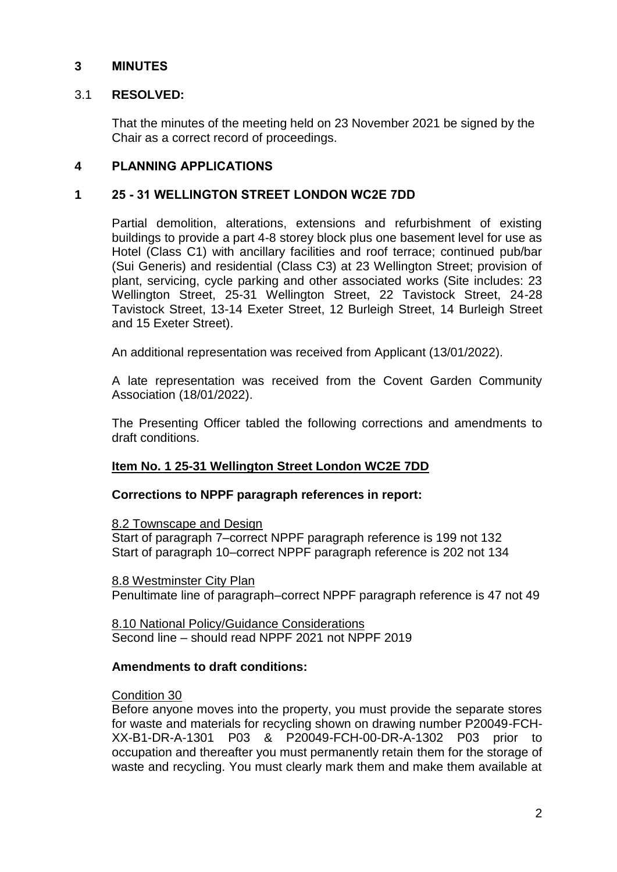### **3 MINUTES**

### 3.1 **RESOLVED:**

That the minutes of the meeting held on 23 November 2021 be signed by the Chair as a correct record of proceedings.

### **4 PLANNING APPLICATIONS**

### **1 25 - 31 WELLINGTON STREET LONDON WC2E 7DD**

Partial demolition, alterations, extensions and refurbishment of existing buildings to provide a part 4-8 storey block plus one basement level for use as Hotel (Class C1) with ancillary facilities and roof terrace; continued pub/bar (Sui Generis) and residential (Class C3) at 23 Wellington Street; provision of plant, servicing, cycle parking and other associated works (Site includes: 23 Wellington Street, 25-31 Wellington Street, 22 Tavistock Street, 24-28 Tavistock Street, 13-14 Exeter Street, 12 Burleigh Street, 14 Burleigh Street and 15 Exeter Street).

An additional representation was received from Applicant (13/01/2022).

A late representation was received from the Covent Garden Community Association (18/01/2022).

The Presenting Officer tabled the following corrections and amendments to draft conditions.

#### **Item No. 1 25-31 Wellington Street London WC2E 7DD**

#### **Corrections to NPPF paragraph references in report:**

8.2 Townscape and Design

Start of paragraph 7–correct NPPF paragraph reference is 199 not 132 Start of paragraph 10–correct NPPF paragraph reference is 202 not 134

8.8 Westminster City Plan Penultimate line of paragraph–correct NPPF paragraph reference is 47 not 49

8.10 National Policy/Guidance Considerations Second line – should read NPPF 2021 not NPPF 2019

#### **Amendments to draft conditions:**

#### Condition 30

Before anyone moves into the property, you must provide the separate stores for waste and materials for recycling shown on drawing number P20049-FCH-XX-B1-DR-A-1301 P03 & P20049-FCH-00-DR-A-1302 P03 prior to occupation and thereafter you must permanently retain them for the storage of waste and recycling. You must clearly mark them and make them available at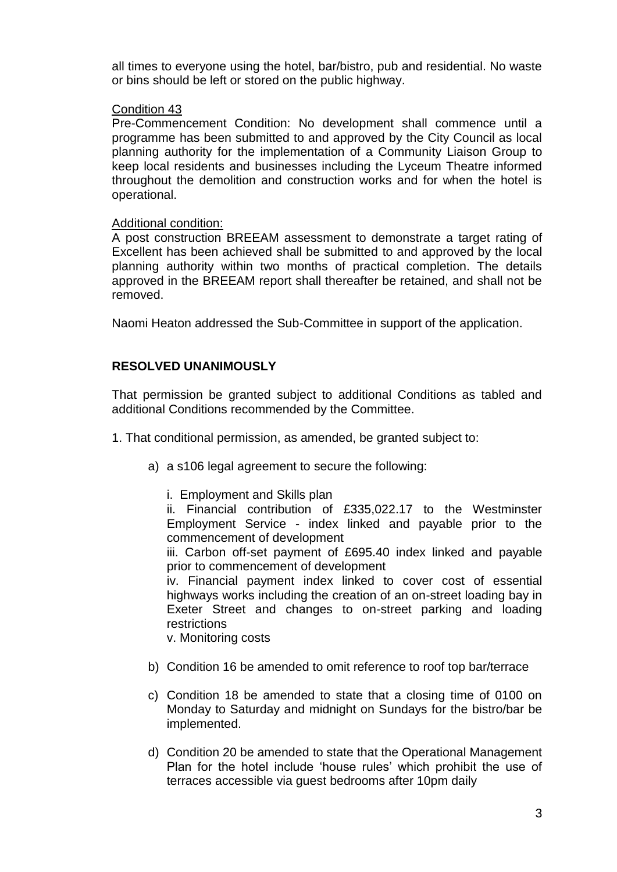all times to everyone using the hotel, bar/bistro, pub and residential. No waste or bins should be left or stored on the public highway.

#### Condition 43

Pre-Commencement Condition: No development shall commence until a programme has been submitted to and approved by the City Council as local planning authority for the implementation of a Community Liaison Group to keep local residents and businesses including the Lyceum Theatre informed throughout the demolition and construction works and for when the hotel is operational.

#### Additional condition:

A post construction BREEAM assessment to demonstrate a target rating of Excellent has been achieved shall be submitted to and approved by the local planning authority within two months of practical completion. The details approved in the BREEAM report shall thereafter be retained, and shall not be removed.

Naomi Heaton addressed the Sub-Committee in support of the application.

#### **RESOLVED UNANIMOUSLY**

That permission be granted subject to additional Conditions as tabled and additional Conditions recommended by the Committee.

- 1. That conditional permission, as amended, be granted subject to:
	- a) a s106 legal agreement to secure the following:
		- i. Employment and Skills plan

ii. Financial contribution of £335,022.17 to the Westminster Employment Service - index linked and payable prior to the commencement of development

iii. Carbon off-set payment of £695.40 index linked and payable prior to commencement of development

iv. Financial payment index linked to cover cost of essential highways works including the creation of an on-street loading bay in Exeter Street and changes to on-street parking and loading restrictions

v. Monitoring costs

- b) Condition 16 be amended to omit reference to roof top bar/terrace
- c) Condition 18 be amended to state that a closing time of 0100 on Monday to Saturday and midnight on Sundays for the bistro/bar be implemented.
- d) Condition 20 be amended to state that the Operational Management Plan for the hotel include 'house rules' which prohibit the use of terraces accessible via guest bedrooms after 10pm daily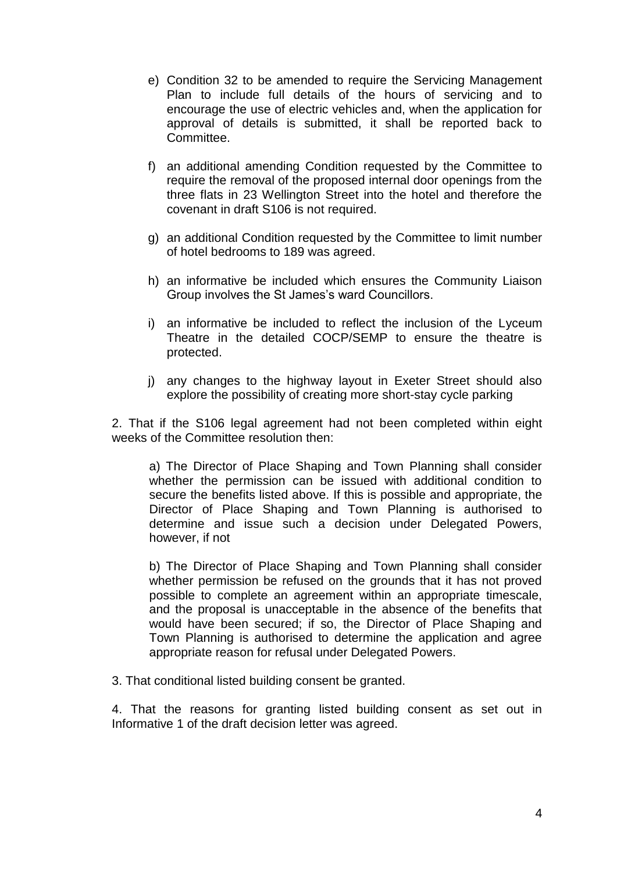- e) Condition 32 to be amended to require the Servicing Management Plan to include full details of the hours of servicing and to encourage the use of electric vehicles and, when the application for approval of details is submitted, it shall be reported back to Committee.
- f) an additional amending Condition requested by the Committee to require the removal of the proposed internal door openings from the three flats in 23 Wellington Street into the hotel and therefore the covenant in draft S106 is not required.
- g) an additional Condition requested by the Committee to limit number of hotel bedrooms to 189 was agreed.
- h) an informative be included which ensures the Community Liaison Group involves the St James's ward Councillors.
- i) an informative be included to reflect the inclusion of the Lyceum Theatre in the detailed COCP/SEMP to ensure the theatre is protected.
- j) any changes to the highway layout in Exeter Street should also explore the possibility of creating more short-stay cycle parking

2. That if the S106 legal agreement had not been completed within eight weeks of the Committee resolution then:

a) The Director of Place Shaping and Town Planning shall consider whether the permission can be issued with additional condition to secure the benefits listed above. If this is possible and appropriate, the Director of Place Shaping and Town Planning is authorised to determine and issue such a decision under Delegated Powers, however, if not

b) The Director of Place Shaping and Town Planning shall consider whether permission be refused on the grounds that it has not proved possible to complete an agreement within an appropriate timescale, and the proposal is unacceptable in the absence of the benefits that would have been secured; if so, the Director of Place Shaping and Town Planning is authorised to determine the application and agree appropriate reason for refusal under Delegated Powers.

3. That conditional listed building consent be granted.

4. That the reasons for granting listed building consent as set out in Informative 1 of the draft decision letter was agreed.